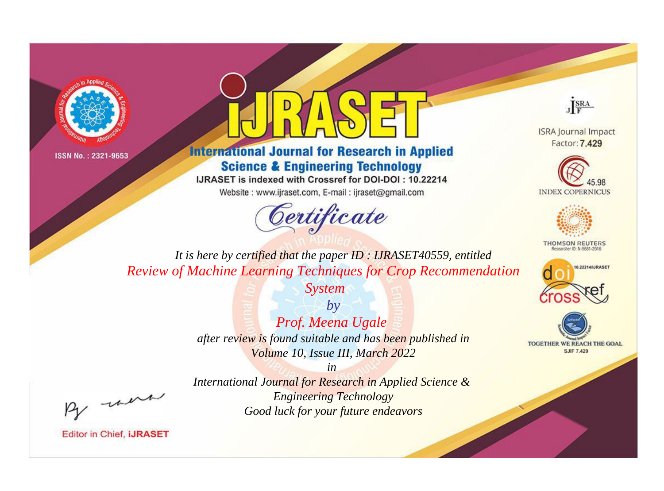



**International Journal for Research in Applied Science & Engineering Technology** 

IJRASET is indexed with Crossref for DOI-DOI: 10.22214

Website: www.ijraset.com, E-mail: ijraset@gmail.com





**ISRA Journal Impact** Factor: 7.429





**THOMSON REUTERS** 



TOGETHER WE REACH THE GOAL **SJIF 7.429** 

*It is here by certified that the paper ID : IJRASET40559, entitled Review of Machine Learning Techniques for Crop Recommendation* 

*System*

*by Prof. Meena Ugale after review is found suitable and has been published in Volume 10, Issue III, March 2022*

, were

*International Journal for Research in Applied Science & Engineering Technology Good luck for your future endeavors*

*in*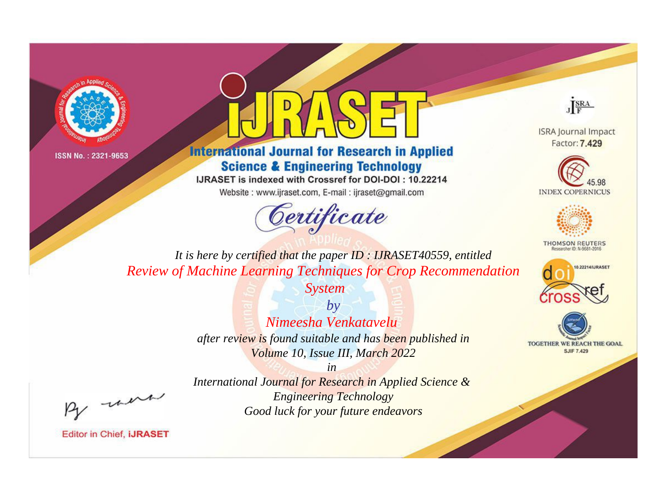



**International Journal for Research in Applied Science & Engineering Technology** 

IJRASET is indexed with Crossref for DOI-DOI: 10.22214

Website: www.ijraset.com, E-mail: ijraset@gmail.com





**ISRA Journal Impact** Factor: 7.429





**THOMSON REUTERS** 



TOGETHER WE REACH THE GOAL **SJIF 7.429** 

*It is here by certified that the paper ID : IJRASET40559, entitled Review of Machine Learning Techniques for Crop Recommendation* 

> *System by Nimeesha Venkatavelu after review is found suitable and has been published in Volume 10, Issue III, March 2022*

*in International Journal for Research in Applied Science & Engineering Technology Good luck for your future endeavors*

, un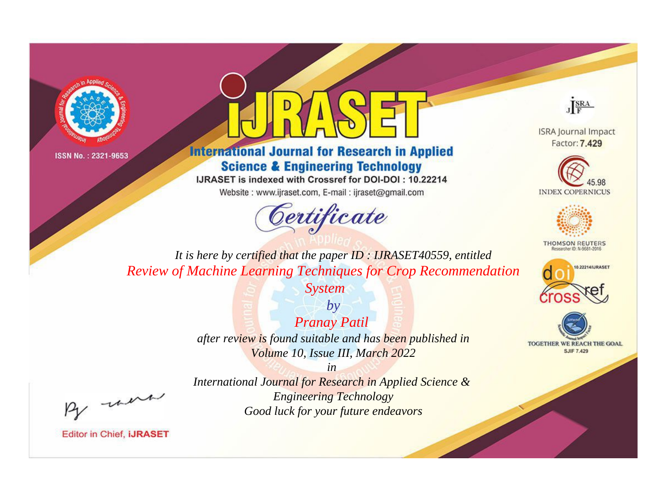



**International Journal for Research in Applied Science & Engineering Technology** 

IJRASET is indexed with Crossref for DOI-DOI: 10.22214

Website: www.ijraset.com, E-mail: ijraset@gmail.com



JERA

**ISRA Journal Impact** Factor: 7.429





**THOMSON REUTERS** 



TOGETHER WE REACH THE GOAL **SJIF 7.429** 

*It is here by certified that the paper ID : IJRASET40559, entitled Review of Machine Learning Techniques for Crop Recommendation* 

*System*

*by Pranay Patil after review is found suitable and has been published in Volume 10, Issue III, March 2022*

, were

*International Journal for Research in Applied Science & Engineering Technology Good luck for your future endeavors*

*in*